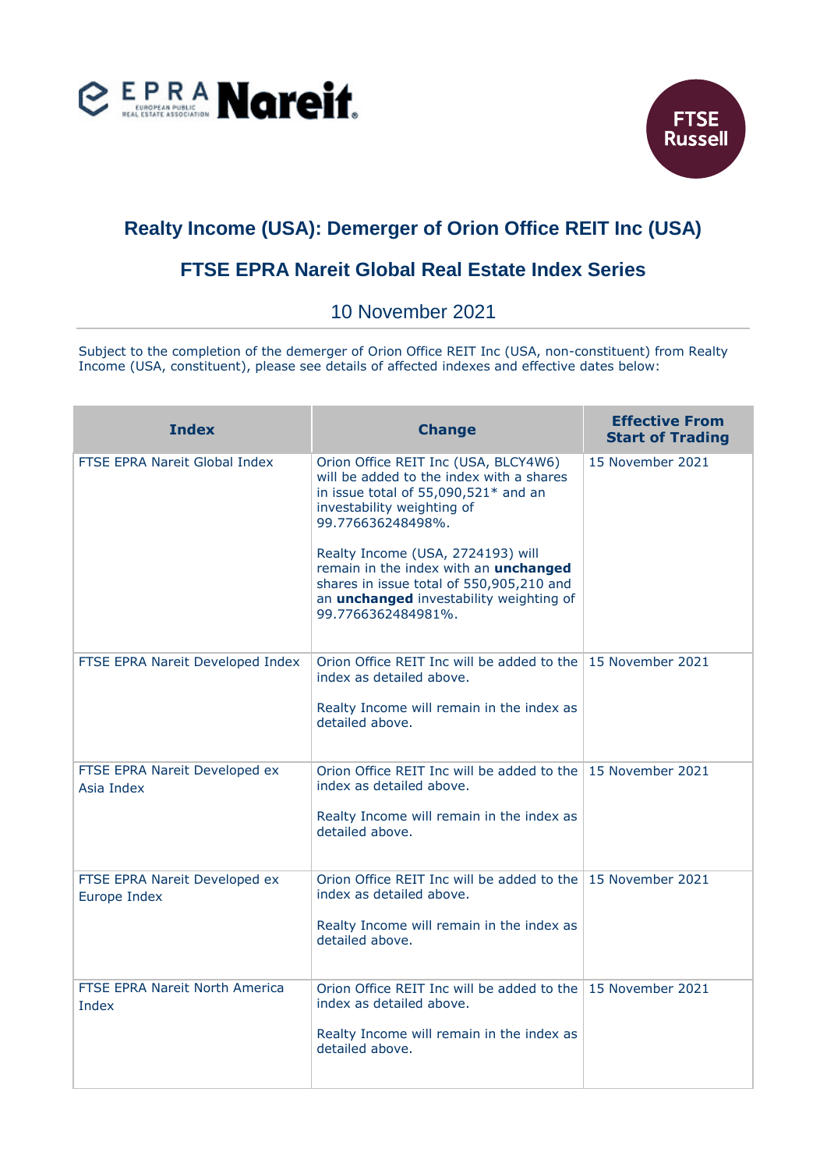



## **Realty Income (USA): Demerger of Orion Office REIT Inc (USA)**

## **FTSE EPRA Nareit Global Real Estate Index Series**

10 November 2021

Subject to the completion of the demerger of Orion Office REIT Inc (USA, non-constituent) from Realty Income (USA, constituent), please see details of affected indexes and effective dates below:

| <b>Index</b>                                  | <b>Change</b>                                                                                                                                                                                                                                                                                                                                                                 | <b>Effective From</b><br><b>Start of Trading</b> |
|-----------------------------------------------|-------------------------------------------------------------------------------------------------------------------------------------------------------------------------------------------------------------------------------------------------------------------------------------------------------------------------------------------------------------------------------|--------------------------------------------------|
| <b>FTSE EPRA Nareit Global Index</b>          | Orion Office REIT Inc (USA, BLCY4W6)<br>will be added to the index with a shares<br>in issue total of 55,090,521* and an<br>investability weighting of<br>99.776636248498%.<br>Realty Income (USA, 2724193) will<br>remain in the index with an unchanged<br>shares in issue total of 550,905,210 and<br>an <i>unchanged</i> investability weighting of<br>99.7766362484981%. | 15 November 2021                                 |
| FTSE EPRA Nareit Developed Index              | Orion Office REIT Inc will be added to the 15 November 2021<br>index as detailed above.<br>Realty Income will remain in the index as<br>detailed above.                                                                                                                                                                                                                       |                                                  |
| FTSE EPRA Nareit Developed ex<br>Asia Index   | Orion Office REIT Inc will be added to the 15 November 2021<br>index as detailed above.<br>Realty Income will remain in the index as<br>detailed above.                                                                                                                                                                                                                       |                                                  |
| FTSE EPRA Nareit Developed ex<br>Europe Index | Orion Office REIT Inc will be added to the 15 November 2021<br>index as detailed above.<br>Realty Income will remain in the index as<br>detailed above.                                                                                                                                                                                                                       |                                                  |
| FTSE EPRA Nareit North America<br>Index       | Orion Office REIT Inc will be added to the 15 November 2021<br>index as detailed above.<br>Realty Income will remain in the index as<br>detailed above.                                                                                                                                                                                                                       |                                                  |